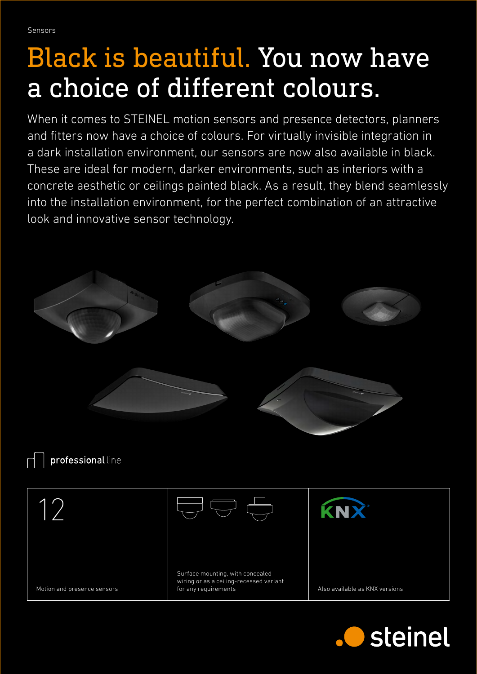Sensors

## Black is beautiful. You now have a choice of different colours.

When it comes to STEINEL motion sensors and presence detectors, planners and fitters now have a choice of colours. For virtually invisible integration in a dark installation environment, our sensors are now also available in black. These are ideal for modern, darker environments, such as interiors with a concrete aesthetic or ceilings painted black. As a result, they blend seamlessly into the installation environment, for the perfect combination of an attractive look and innovative sensor technology.



professional line

12 KNX Surface mounting, with concealed wiring or as a ceiling-recessed variant Motion and presence sensors for any requirements and Also available as KNX versions